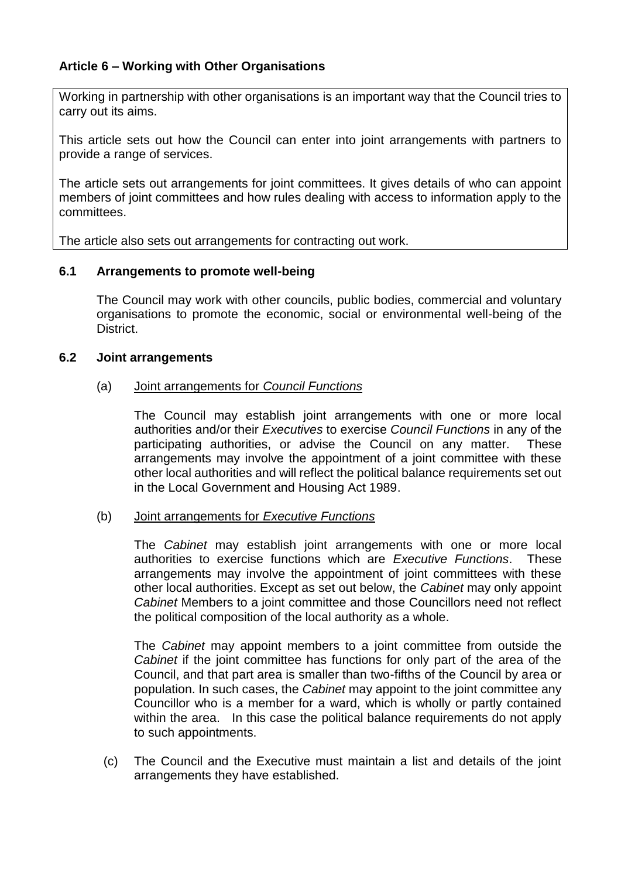# **Article 6 – Working with Other Organisations**

Working in partnership with other organisations is an important way that the Council tries to carry out its aims.

This article sets out how the Council can enter into joint arrangements with partners to provide a range of services.

The article sets out arrangements for joint committees. It gives details of who can appoint members of joint committees and how rules dealing with access to information apply to the committees.

The article also sets out arrangements for contracting out work.

### **6.1 Arrangements to promote well-being**

The Council may work with other councils, public bodies, commercial and voluntary organisations to promote the economic, social or environmental well-being of the District.

### **6.2 Joint arrangements**

#### (a) Joint arrangements for *Council Functions*

The Council may establish joint arrangements with one or more local authorities and/or their *Executives* to exercise *Council Functions* in any of the participating authorities, or advise the Council on any matter. These arrangements may involve the appointment of a joint committee with these other local authorities and will reflect the political balance requirements set out in the Local Government and Housing Act 1989.

### (b) Joint arrangements for *Executive Functions*

The *Cabinet* may establish joint arrangements with one or more local authorities to exercise functions which are *Executive Functions*. These arrangements may involve the appointment of joint committees with these other local authorities. Except as set out below, the *Cabinet* may only appoint *Cabinet* Members to a joint committee and those Councillors need not reflect the political composition of the local authority as a whole.

The *Cabinet* may appoint members to a joint committee from outside the *Cabinet* if the joint committee has functions for only part of the area of the Council, and that part area is smaller than two-fifths of the Council by area or population. In such cases, the *Cabinet* may appoint to the joint committee any Councillor who is a member for a ward, which is wholly or partly contained within the area. In this case the political balance requirements do not apply to such appointments.

(c) The Council and the Executive must maintain a list and details of the joint arrangements they have established.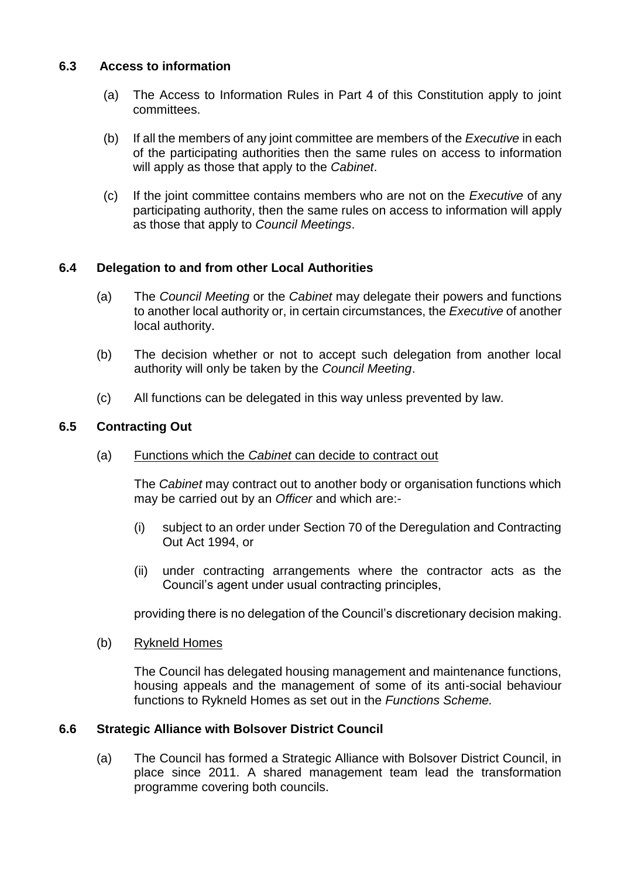## **6.3 Access to information**

- (a) The Access to Information Rules in Part 4 of this Constitution apply to joint committees.
- (b) If all the members of any joint committee are members of the *Executive* in each of the participating authorities then the same rules on access to information will apply as those that apply to the *Cabinet*.
- (c) If the joint committee contains members who are not on the *Executive* of any participating authority, then the same rules on access to information will apply as those that apply to *Council Meetings*.

## **6.4 Delegation to and from other Local Authorities**

- (a) The *Council Meeting* or the *Cabinet* may delegate their powers and functions to another local authority or, in certain circumstances, the *Executive* of another local authority.
- (b) The decision whether or not to accept such delegation from another local authority will only be taken by the *Council Meeting*.
- (c) All functions can be delegated in this way unless prevented by law.

## **6.5 Contracting Out**

(a) Functions which the *Cabinet* can decide to contract out

The *Cabinet* may contract out to another body or organisation functions which may be carried out by an *Officer* and which are:-

- (i) subject to an order under Section 70 of the Deregulation and Contracting Out Act 1994, or
- (ii) under contracting arrangements where the contractor acts as the Council's agent under usual contracting principles,

providing there is no delegation of the Council's discretionary decision making.

(b) Rykneld Homes

The Council has delegated housing management and maintenance functions, housing appeals and the management of some of its anti-social behaviour functions to Rykneld Homes as set out in the *Functions Scheme.*

### **6.6 Strategic Alliance with Bolsover District Council**

(a) The Council has formed a Strategic Alliance with Bolsover District Council, in place since 2011. A shared management team lead the transformation programme covering both councils.